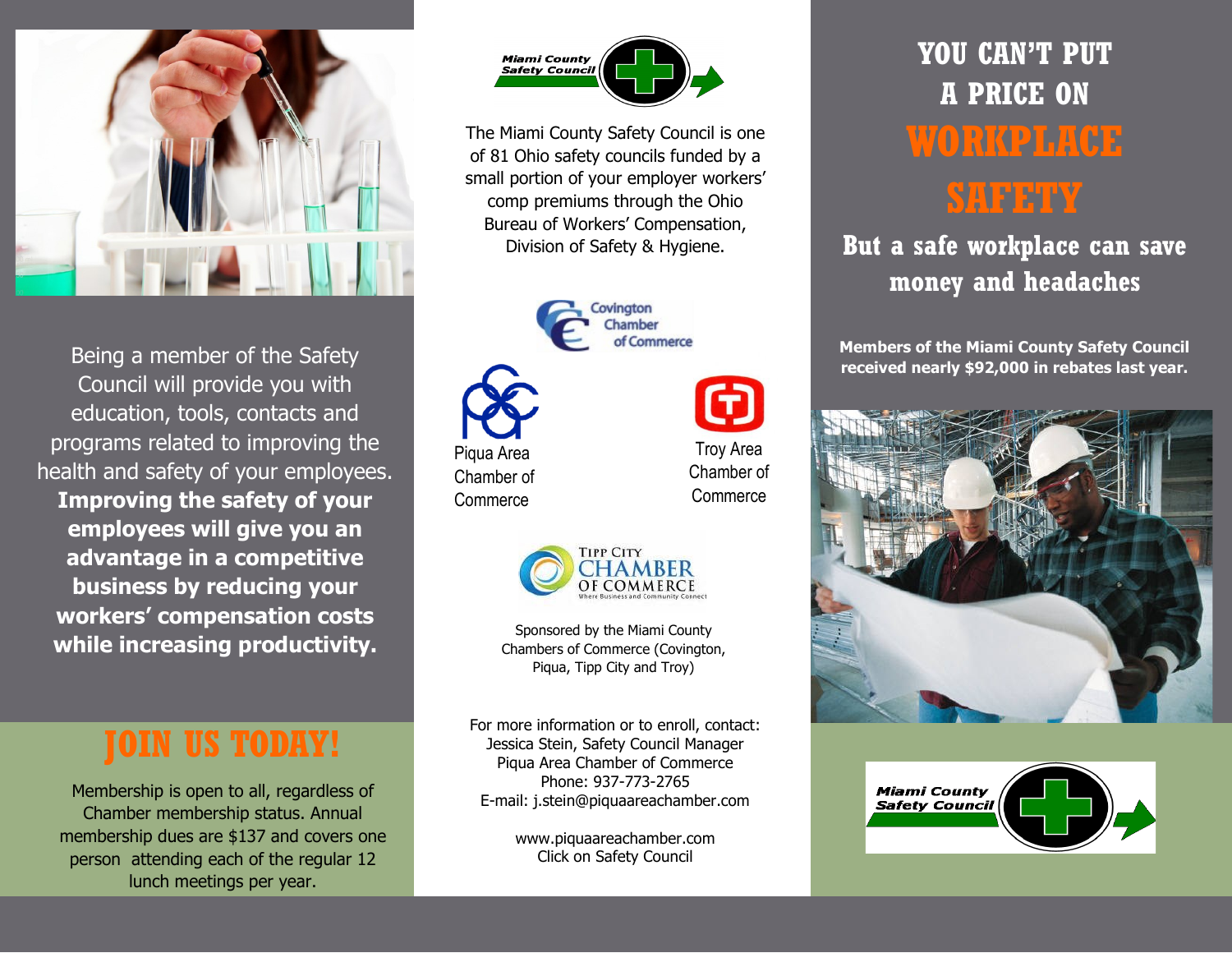

Being a member of the Safety Council will provide you with education, tools, contacts and programs related to improving the health and safety of your employees. **Improving the safety of your employees will give you an advantage in a competitive business by reducing your workers' compensation costs while increasing productivity.**

# **JOIN US TODAY!**

Membership is open to all, regardless of Chamber membership status. Annual membership dues are \$137 and covers one person attending each of the regular 12 lunch meetings per year.



The Miami County Safety Council is one of 81 Ohio safety councils funded by a small portion of your employer workers' comp premiums through the Ohio Bureau of Workers' Compensation, Division of Safety & Hygiene.





Troy Area

Chamber of **Commerce** 



Sponsored by the Miami County Chambers of Commerce (Covington, Piqua, Tipp City and Troy)

For more information or to enroll, contact: Jessica Stein, Safety Council Manager Piqua Area Chamber of Commerce Phone: 937-773-2765 E-mail: j.stein@piquaareachamber.com

> www.piquaareachamber.com Click on Safety Council

# **YOU CAN'T PUT A PRICE ON WORKPLACE SAFETY**

## **But a safe workplace can save money and headaches**

**Members of the Miami County Safety Council received nearly \$92,000 in rebates last year.**